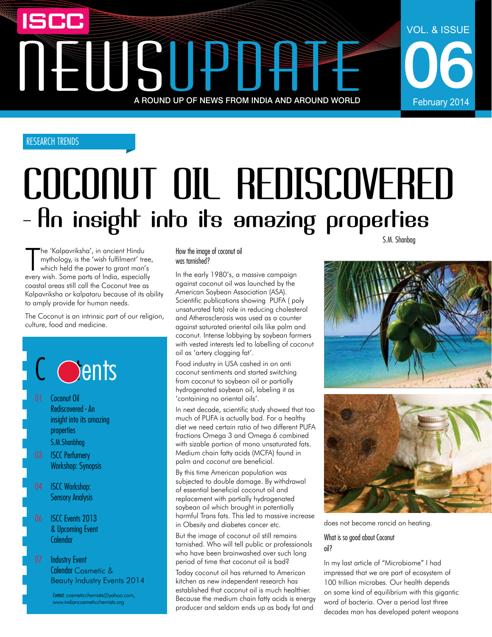## NEWSUPPER A ROUND UP OF NEWS FROM INDIA AND AROUND WORLD

### RESEARCH TRENDS

## COCONUT OIL REDISCOVERED<br>- An insight into its amazing properties

The 'Kalpavriksha', in ancient Hindu<br>
mythology, is the 'wish fulfilment' tree<br>
which held the power to grant man's<br>
every wish. Some parts of India, especially he 'Kalpavriksha', in ancient Hindu mythology, is the 'wish fulfilment' tree, which held the power to grant man's coastal areas still call the Coconut tree as Kalpavriksha or kalpataru because of its ability to amply provide for human needs.

The Coconut is an intrinsic part of our religion, culture, food and medicine.



#### How the image of coconut oil was tarnished?

In the early 1980's, a massive campaign against coconut oil was launched by the American Soybean Association (ASA). Scientific publications showing PUFA ( poly unsaturated fats) role in reducing cholesterol and Atherosclerosis was used as a counter against saturated oriental oils like palm and coconut. Intense lobbying by soybean farmers with vested interests led to labelling of coconut oil as 'artery clogging fat'.

Food industry in USA cashed in on anti coconut sentiments and started switching from coconut to soybean oil or partially hydrogenated soybean oil, labeling it as 'containing no oriental oils'.

In next decade, scientific study showed that too much of PUFA is actually bad. For a healthy diet we need certain ratio of two different PUFA fractions Omega 3 and Omega 6 combined with sizable portion of mono unsaturated fats. Medium chain fatty acids (MCFA) found in palm and coconut are beneficial.

By this time American population was subjected to double damage. By withdrawal of essential beneficial coconut oil and replacement with partially hydrogenated soybean oil which brought in potentially harmful Trans fats. This led to massive increase in Obesity and diabetes cancer etc.

But the image of coconut oil still remains tarnished. Who will tell public or professionals who have been brainwashed over such long period of time that coconut oil is bad?

Today coconut oil has returned to American kitchen as new independent research has established that coconut oil is much healthier. Because the medium chain fatty acids is energy producer and seldom ends up as body fat and

S.M. Shanbag

06

February 2014

VOL. & ISSUE



does not become rancid on heating.

What is so good about Coconut oil?

In my last article of "Microbiome" I had impressed that we are part of ecosystem of 100 trillion microbes. Our health depends on some kind of equilibrium with this gigantic word of bacteria. Over a period last three decades man has developed potent weapons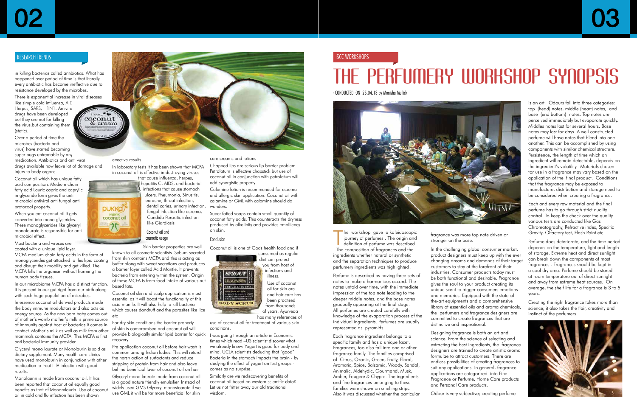## THE PERFUMERY WORKSHOP SYNOPSIS

- CONDUCTED ON 25.04.13 by Monisha Mullick



The workshop gave a kaleidoscopie<br>iourney of perfumes . The origin and<br>definition of perfume was described<br>The composition of fragrances and the he workshop gave a kaleidoscopic journey of perfumes . The origin and definition of perfume was described ingredients whether natural or synthetic and the separation techniques to produce perfumery ingredients was highlighted .

Perfume is described as having three sets of notes to make a harmonious accord. The notes unfold over time, with the immediate impression of the top note leading to the deeper middle notes, and the base notes gradually appearing at the final stage. All perfumes are created carefully with knowledge of the evaporation process of the individual ingredients. Perfumes are usually represented as pyramids.

Each fragrance ingredient belongs to a specific family and has a unique facet. Fragrances, too also fall into one or other fragrance family. The families comprised of Citrus, Ozonic, Green, Fruity, Floral, Aromatic, Spice, Balsamic, Woody, Sandal, Animalic, Aldehydic, Gourmand, Musk, Amber, Fougere & Chypre. The ingredients and fine fragrances belonging to these families were shown on smelling strips. Also it was discussed whether the particular fragrance was more top note driven or stronger on the base.

In the challenging global consumer market, product designers must keep up with the ever changing dreams and demands of their target customers to stay at the forefront of their industries. Consumer products today must be both functional and desirable. Fragrance gives the soul to your product creating its unique scent to trigger consumers emotions and memories. Equipped with the state-ofthe-art equipments and a comprehensive library of essential oils and aroma chemicals, the perfumers and fragrance designers are committed to create fragrances that are distinctive and inspirational.

Designing fragrance is both an art and science. From the science of selecting and extracting the best ingredients, the fragrance designers are trained to create artistic aroma formulae to attract customers. There are endless possibilities of creating fragrances to suit any applications. In general, fragrance applications are categorized into Fine Fragrance or Perfume, Home Care products and Personal Care products.

Odour is very subjective; creating perfume



is an art. Odours fall into three categories: top (head) notes, middle (heart) notes, and base (end bottom) notes. Top notes are perceived immediately but evaporate quickly. Middles notes last for several hours. Base notes may last for days. A well constructed perfume will have notes that blend into one another. This can be accomplished by using components with similar chemical structure. Persistence, the length of time which an ingredient will remain detectable, depends on the ingredient's volatility. Materials chosen for use in a fragrance may vary based on the application of the final product. Conditions that the fragrance may be exposed to manufacture, distribution and storage need to be considered when creating a fragrance.

Each and every raw material and the final perfume has to go through strict quality control. To keep the check over the quality various tests are conducted like Gas Chromatography, Refractive index, Specific Gravity, Olfactory test, Flash Point etc.

Perfume does deteriorate, and the time period depends on the temperature, light and length of storage. Extreme heat and direct sunlight can break down the components of most fragrances . Fragrances should be kept in a cool dry area. Perfume should be stored at room temperature out of direct sunlight and away from extreme heat sources. On average, the shelf life for a fragrance is 3 to 5 years.

Creating the right fragrance takes more than science; it also takes the flair, creativity and instinct of the perfumers.



#### ISCC WORKSHOPs

in killing bacterias called antibiotics. What has happened over period of time is that literally every antibiotic has become ineffective due to resistance developed by the microbes.

There is exponential increase in viral diseases like simple cold influenza, AID Herpes, SARS, H1N1. Antiviral drugs have been developed but they are not for killing the virus.but containing them

(static). Over a period of time the microbes (bacteria and virus) have started becoming super bugs untreatable by any medication. Antibiotics and anti viral

drugs available now leave lot of damage and injury to body organs.

Coconut oil which has unique fatty acid composition. Medium chain fatty acid Lauric capric and caprylic in glyceride form gives the anti microbial antiviral anti fungal anti protozoal property.

When you eat coconut oil it gets converted into mono glycerides. These monoglycerides like glyceryl monolaurate is responsible for anti microbial effect.

Most bacteria and viruses are coated with a unique lipid layer.

MCFA medium chain fatty acids in the form of monoglycerides get attached to this lipid coating and disrupt their mobility and get killed. The MCFA kills the organism without harming the human body tissues.

In our microbiome MCFA has a distinct function. It is present in our gut right from our birth along with such huge population of microbes.

In essence coconut oil derived products inside the body immune modulators and also acts as energy source. As the new born baby comes out of mother's womb mother's milk is prime source of immunity against host of bacterias it comes in contact. Mother's milk as well as milk from other mammals contains the MCFA. This MCFA is first anti bacterial immunity provider

Glyceryl mono laurate or Monolaurin is sold as dietary supplement. Many health care clinics have used monolaurin in conjunction with other medication to treat HIV infection with good results.

Monolaurin is made from coconut oil. It has been reported that coconut oil equally good benefits as that of Monomlaurin. Use of coconut oil in cold and flu infection has been shown



effective results.

**PUKKO** organic<br>coconut oil

In laboratory tests it has been shown that MCFA in coconut oil is effective in destroying viruses that cause influenza, herpes,

hepatitis C, AIDS, and bacterial infections that cause stomach ulcers. Pneumonia, Sinusitis,

earache, throat infection, dental caries, urinary infection, fungal infection like eczema, Candida Parasitic infection like Giardiasis

Coconut oil and cosmetic usage

Skin barrier properties are well known to all cosmetic scientists. Sebum secreted from skin contains MCFA and this is acting as buffer along with sweat secretions and produces a barrier layer called Acid Mantle. It prevents bacteria from entering within the system. Origin of these MCFA is from food intake of various nut based fats.

Coconut oil skin and scalp application is most essential as it will boost the functionality of this acid mantle. It will also help to kill bacteria which causes dandruff and the parasites like lice etc

For dry skin conditions the barrier property of skin is compromised and coconut oil will provide biologically similar lipid barrier for quick recovery.

Pre application coconut oil before hair wash is common among Indian ladies. This will retard the harsh action of surfactants and reduce stripping of protein from hair and also leave behind beneficial layer of coconut oil on hair.

Glyceryl mono laurate made from coconut oil is a good nature friendly emulsifier. Instead of widely used GMS Glyceryl monostearate if we use GML it will be far more beneficial for skin

## RESEARCH TRENDS

care creams and lotions

Chapped lips are serious lip barrier problem. Petrolatum is effective chapstick but use of coconut oil in conjunction with petrolatum will add synergistic property.

Calamine lotion is recommended for eczema and allergic skin application. Coconut oil with calamine or GML with calamine should do wonders.

Super fatted soaps contain small quantity of coconut fatty acids. This counteracts the dryness produced by alkalinity and provides emolliency on skin.

#### **Conclusion**

Coconut oil is one of Gods health food and if consumed as regular diet can protect you from host of infections and PROUT illness.

Use of coconut oil for skin are and hair care has been practised from thousands of years. Ayurveda

has many references of

use of coconut oil for treatment of various skin conditions.

I was going through an article in Economic times which read –US scientist discover what we already knew: Yogurt is good for body and mind. UCLA scientists deducing that "good" Bacteria in the stomach impacts the brain - by studying the effect of yogurt on test groups comes as no surprise.

Similarly are we rediscovering benefits of coconut oil based on western scientific data? Let us not fritter away our old traditional wisdom.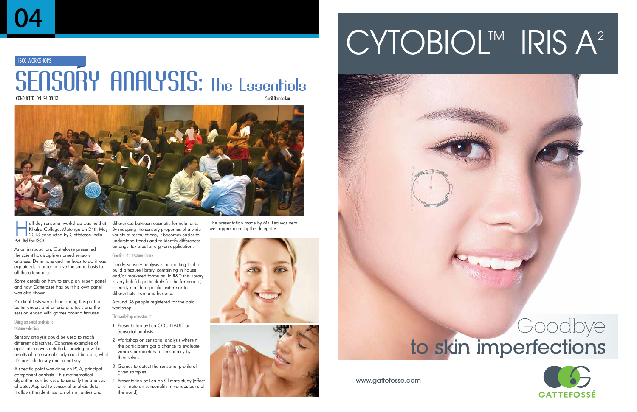## **ISCC WORKSHOPS**

## SENSORY ANALYSIS: The Essentials

CONDUCTED ON  $24.08.13$ 



I alf day sensorial workshop was held at Khalsa College, Matunga on 24th May 2013 conducted by Gattefosse India Pvt. ltd for ISCC

As an introduction, Gattefosse presented the scientific discipline named sensory analysis. Definitions and methods to do it was explained, in order to give the same basis to all the attendance.

Some details on how to setup an expert panel and how Gattefossé has built his own panel was also shown.

Practical tests were done during this part to better understand criteria and tests and the session ended with games around textures.

Using sensorial analysis for texture selection

Sensory analysis could be used to reach different objectives. Concrete examples of applications was detailed, showing how the results of a sensorial study could be used, what it's possible to say and to not say.

A specific point was done on PCA, principal component analysis. This mathematical algorithm can be used to simplify the analysis of data. Applied to sensorial analysis data, it allows the identification of similarities and

differences between cosmetic formulations. By mapping the sensory properties of a wide variety of formulations, it becomes easier to understand trends and to identify differences amongst textures for a given application.

#### Creation of a texture library

Finally, sensory analysis is an exciting tool to build a texture library, containing in house and/or marketed formulas. In R&D this library is very helpful, particularly for the formulator, to easily match a specific texture or to differentiate from another one.

Around 36 people registered for the paid workshop.

The workshop consisted of:

- 1. Presentation by Lea COUILLAULT on Sensorial analysis
- 2. Workshop on sensorial analysis wherein the participants got a chance to evaluate various parameters of sensoriality by themselves
- 3. Games to detect the sensorial profile of given samples
- 4. Presentation by Lea on Climate study (effect of climate on sensoriality in various parts of the world)

The presentation made by Ms. Lea was very

well appreciated by the delegates.



## CYTOBIOL™ IRIS A<sup>2</sup>



## to skin imperfections goodbye

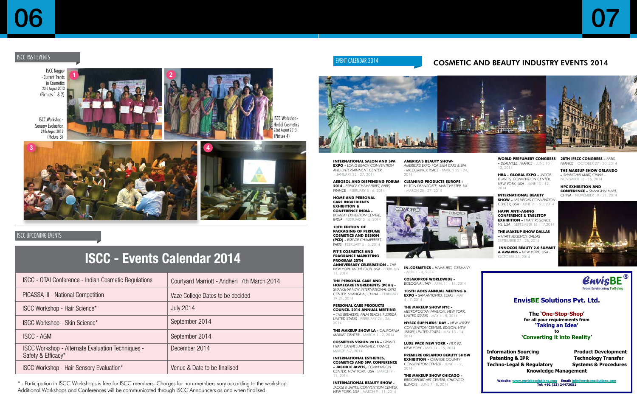## **EnvisBE Solutions Pvt. Ltd.**

**The 'One-Stop-Shop' for all your requirements from 'Taking an Idea' to**

**'Converting it into Reality'**

**Information Sourcing Product Development Patenting & IPR Technology Transfer Techno-Legal & Regulatory Systems & Procedures Knowledge Management**

**Website: www.envisbesolutions.com Email: info@envisbesolutions.com Tel: +91 (22) 24473051**



07

## EVENT CALENDAR 2014 **EXERCIC COSMETIC AND BEAUTY INDUSTRY EVENTS 2014**

**International Salon and Spa Expo -** *Long Beach Convention and Entertainment Center* - January 25 - 27, 2014

**Aerosol and Dispensing Forum 2014** *- Espace Champerret, Paris, France* - February 5 - 6, 2014

**Home and Personal Care Ingredients Exhibition & Conference India -**  *Bombay Exhibition Centre, India* - February 5 - 6, 2014

**10th Edition of Packaging of Perfume Cosmetics and Design (PCD) -** *Espace Champerret, Paris* - February 5 - 6, 2014

**FIT's Cosmetics and Fragrance Marketing Program 25th Anniversary Celebration -** *The* 

**In-Cosmetics -** *Hamburg, Germany* APRIL 1 - 3, 2014

*New York Yacht Club, USA* - February 11, 2014

**The Personal Care and Homecare Ingredients (PCHi) -**  *Shanghai New International Expo Center, Shanghai, China* – February 19-21, 2014

**Personal Care Products Council 2014 Annual Meeting -** *The Breakers, Palm Beach, Florida, United States* - February 24 - 26, 2014

**The Makeup Show LA -** *California Market Center* - March 1 - 2, 2014

**Cosmetics Vision 2014 –** *grand Hyatt Cannes Martinez, France* – March 5-7, 2014

**International Esthetics, Cosmetics and Spa Conference - Jacob K Javits,** *Convention Center, New York, USA* - March 9 - 11, 2014

**International Beauty Show -**  *Jacob K Javits, Convention Center, New York, USA* - March 9 - 11, 2014



**America's Beauty Show-***America's Expo for Skin Care & Spa - McCormick Place* - March 22 - 24, 2014

**Cleaning Products Europe -**  *Hilton Deansgate, Manchester, UK*

- March 25 - 27, 2014

**Cosmoprof Worldwide -**  *Bologna, Italy* - April 11 - 14, 2014

**105th AOCS Annual Meeting & Expo -** *San Antonio, Texas* - May 4 - 7, 2014

**The Makeup Show NYC -**  *Metropolitan Pavilion, New York, United States* - May 4 - 5, 2014



**ISCC Workshop** Herbal Cosmetics 22nd August 2013 (Picture 4)

**NYSCC Suppliers' Day -** *New Jersey Convention Center, Edison, New Jersey, United States* - May 13 - 14, 2014

**Luxe Pack New York -** *Pier 92, New York* - May 14 - 15, 2014

**Premiere Orlando Beauty Show Exhibition -** *Orange County Convention Center* - June 1 - 2, 2014

**The Makeup Show Chicago -**  *Bridgeport Art Center, Chicago, Illinois* - June 7 - 8, 2014

## **ISCC - Events Calendar 2014**

## ISCC past events

## 06

| ISCC - OTAI Conference - Indian Cosmetic Regulations                           | Courtyard Marriott - Andheri 7th March 2014 |
|--------------------------------------------------------------------------------|---------------------------------------------|
| PICASSA III - National Competition                                             | Vaze College Dates to be decided            |
| <b>ISCC Workshop - Hair Science*</b>                                           | <b>July 2014</b>                            |
| ISCC Workshop - Skin Science*                                                  | September 2014                              |
| <b>ISCC - AGM</b>                                                              | September 2014                              |
| <b>ISCC Workshop - Alternate Evaluation Techniques -</b><br>Safety & Efficacy* | December 2014                               |
| ISCC Workshop - Hair Sensory Evaluation*                                       | Venue & Date to be finalised                |

\* - Participation in ISCC Workshops is free for ISCC members. Charges for non-members vary according to the workshop. Additional Workshops and Conferences will be communicated through ISCC Announcers as and when finalised.



**World Perfumery Congress 28th IFSCC Congress –** *Paris,*  **-** *Deauville, France* - June 10 - 12, 2014

**HBA - Global Expo -** *Jacob K Javits, Convention Center, New York, USA* - June 10 - 12, 2014

**International Beauty Show –** *Las Vegas Convention Center, USA* - June 21 - 23, 2014

**Happi Anti-Aging Conference & Tabletop Exhibition –** *Hyatt Regency, NJ, USA* – September 16 - 17,2014

**The Makeup Show Dallas –** *Hyatt Regency, Dallas* – September 27 - 28, 2014

 **InnoCos Beauty 2.0 Summit & Awards –** *New York, USA* – October 23, 2014

*France* – October 27 - 30, 2014

**The Makeup Show Orlando –** *Shanghai Mart, China* – November 15 - 16, 2014

**HPC Exhibition and Conference –** *Shanghai Mart, China* – November 19 - 21, 2014



ISCC Nagpur - Current Trends in Cosmetics 23rd August 2013 (Pictures 1 & 2)



(Picture 3)





## ISCC UPCOMING EVENTS